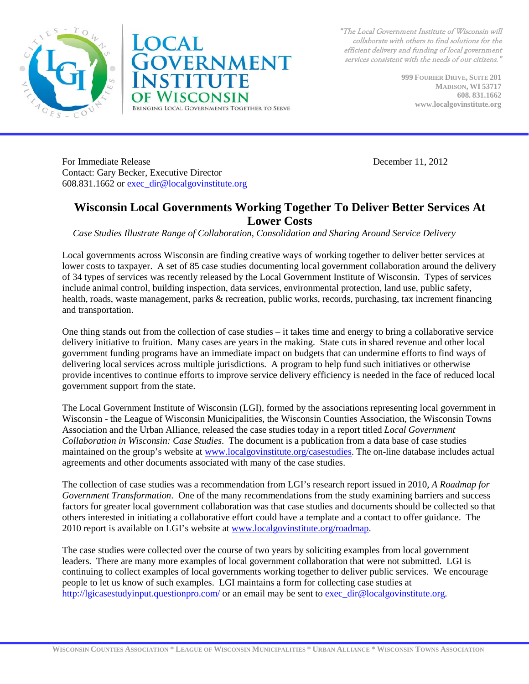



"The Local Government Institute of Wisconsin will collaborate with others to find solutions for the efficient delivery and funding of local government services consistent with the needs of our citizens."

> **999 FOURIER DRIVE, SUITE 201 MADISON, WI 53717 608. 831.1662 www.localgovinstitute.org**

For Immediate Release December 11, 2012 Contact: Gary Becker, Executive Director 608.831.1662 or [exec\\_dir@localgovinstitute.org](mailto:exec_dir@localgovinstitute.org)

#### **Wisconsin Local Governments Working Together To Deliver Better Services At Lower Costs**

*Case Studies Illustrate Range of Collaboration, Consolidation and Sharing Around Service Delivery* 

Local governments across Wisconsin are finding creative ways of working together to deliver better services at lower costs to taxpayer. A set of 85 case studies documenting local government collaboration around the delivery of 34 types of services was recently released by the Local Government Institute of Wisconsin. Types of services include animal control, building inspection, data services, environmental protection, land use, public safety, health, roads, waste management, parks & recreation, public works, records, purchasing, tax increment financing and transportation.

One thing stands out from the collection of case studies – it takes time and energy to bring a collaborative service delivery initiative to fruition. Many cases are years in the making. State cuts in shared revenue and other local government funding programs have an immediate impact on budgets that can undermine efforts to find ways of delivering local services across multiple jurisdictions. A program to help fund such initiatives or otherwise provide incentives to continue efforts to improve service delivery efficiency is needed in the face of reduced local government support from the state.

The Local Government Institute of Wisconsin (LGI), formed by the associations representing local government in Wisconsin - the League of Wisconsin Municipalities, the Wisconsin Counties Association, the Wisconsin Towns Association and the Urban Alliance, released the case studies today in a report titled *Local Government Collaboration in Wisconsin: Case Studies*. The document is a publication from a data base of case studies maintained on the group's website at [www.localgovinstitute.org/casestudies.](http://www.localgovinstitute.org/casestudies) The on-line database includes actual agreements and other documents associated with many of the case studies.

The collection of case studies was a recommendation from LGI's research report issued in 2010, *A Roadmap for Government Transformation*. One of the many recommendations from the study examining barriers and success factors for greater local government collaboration was that case studies and documents should be collected so that others interested in initiating a collaborative effort could have a template and a contact to offer guidance. The 2010 report is available on LGI's website at [www.localgovinstitute.org/roadmap.](http://www.localgovinstitute.org/roadmap)

The case studies were collected over the course of two years by soliciting examples from local government leaders. There are many more examples of local government collaboration that were not submitted. LGI is continuing to collect examples of local governments working together to deliver public services. We encourage people to let us know of such examples. LGI maintains a form for collecting case studies at <http://lgicasestudyinput.questionpro.com/> or an email may be sent to [exec\\_dir@localgovinstitute.org.](mailto:exec_dir@localgovinstitute.org)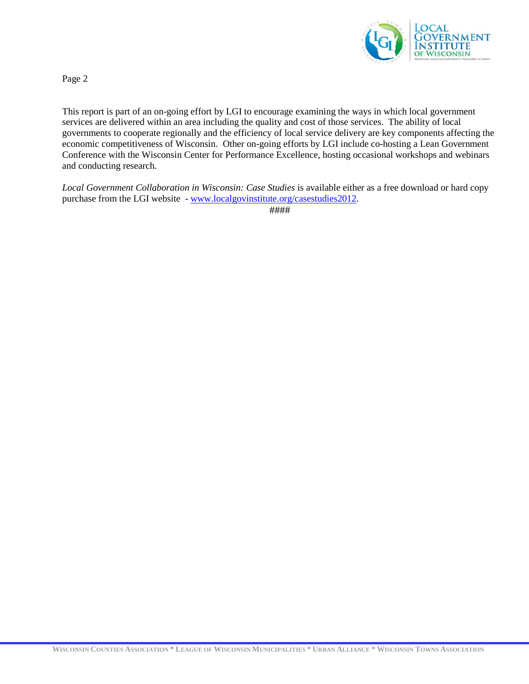

Page 2

This report is part of an on-going effort by LGI to encourage examining the ways in which local government services are delivered within an area including the quality and cost of those services. The ability of local governments to cooperate regionally and the efficiency of local service delivery are key components affecting the economic competitiveness of Wisconsin. Other on-going efforts by LGI include co-hosting a Lean Government Conference with the Wisconsin Center for Performance Excellence, hosting occasional workshops and webinars and conducting research.

*Local Government Collaboration in Wisconsin: Case Studies* is available either as a free download or hard copy purchase from the LGI website - [www.localgovinstitute.org/casestudies2012.](http://www.localgovinstitute.org/casestudies2012)

####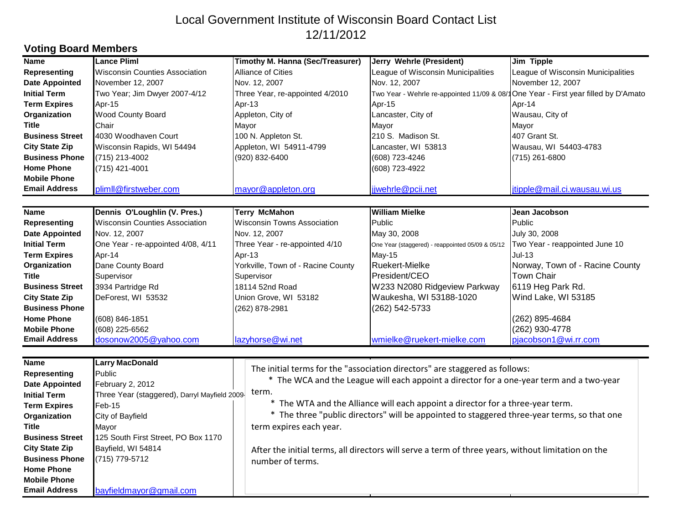# Local Government Institute of Wisconsin Board Contact List 12/11/2012

### **Voting Board Members**

| <b>Name</b>            | <b>Lance Pliml</b>                            | Timothy M. Hanna (Sec/Treasurer)                                                                   | Jerry Wehrle (President)                                                            | Jim Tipple                         |
|------------------------|-----------------------------------------------|----------------------------------------------------------------------------------------------------|-------------------------------------------------------------------------------------|------------------------------------|
| <b>Representing</b>    | Wisconsin Counties Association                | Alliance of Cities                                                                                 | League of Wisconsin Municipalities                                                  | League of Wisconsin Municipalities |
| <b>Date Appointed</b>  | November 12, 2007                             | Nov. 12, 2007                                                                                      | Nov. 12, 2007                                                                       | November 12, 2007                  |
| <b>Initial Term</b>    | Two Year; Jim Dwyer 2007-4/12                 | Three Year, re-appointed 4/2010                                                                    | Two Year - Wehrle re-appointed 11/09 & 08/1 One Year - First year filled by D'Amato |                                    |
| <b>Term Expires</b>    | Apr-15                                        | Apr-13                                                                                             | Apr-15                                                                              | Apr-14                             |
| Organization           | Wood County Board                             | Appleton, City of                                                                                  | Lancaster, City of                                                                  | Wausau, City of                    |
| Title                  | Chair                                         | Mayor                                                                                              | Mayor                                                                               | Mayor                              |
| <b>Business Street</b> | 4030 Woodhaven Court                          | 100 N. Appleton St.                                                                                | 210 S. Madison St.                                                                  | 407 Grant St.                      |
| <b>City State Zip</b>  | Wisconsin Rapids, WI 54494                    | Appleton, WI 54911-4799                                                                            | Lancaster, WI 53813                                                                 | Wausau, WI 54403-4783              |
| <b>Business Phone</b>  | (715) 213-4002                                | (920) 832-6400                                                                                     | (608) 723-4246                                                                      | (715) 261-6800                     |
| <b>Home Phone</b>      | (715) 421-4001                                |                                                                                                    | (608) 723-4922                                                                      |                                    |
| <b>Mobile Phone</b>    |                                               |                                                                                                    |                                                                                     |                                    |
| <b>Email Address</b>   | plimII@firstweber.com                         | mayor@appleton.org                                                                                 | jjwehrle@pcii.net                                                                   | jtipple@mail.ci.wausau.wi.us       |
|                        |                                               |                                                                                                    |                                                                                     |                                    |
| <b>Name</b>            | Dennis O'Loughlin (V. Pres.)                  | <b>Terry McMahon</b>                                                                               | <b>William Mielke</b>                                                               | Jean Jacobson                      |
| <b>Representing</b>    | <b>Wisconsin Counties Association</b>         | <b>Wisconsin Towns Association</b>                                                                 | Public                                                                              | Public                             |
| <b>Date Appointed</b>  | Nov. 12, 2007                                 | Nov. 12, 2007                                                                                      | May 30, 2008                                                                        | July 30, 2008                      |
| <b>Initial Term</b>    | One Year - re-appointed 4/08, 4/11            | Three Year - re-appointed 4/10                                                                     | One Year (staggered) - reappointed 05/09 & 05/12                                    | Two Year - reappointed June 10     |
| <b>Term Expires</b>    | Apr-14                                        | Apr-13                                                                                             | $May-15$                                                                            | Jul-13                             |
| Organization           | Dane County Board                             | Yorkville, Town of - Racine County                                                                 | <b>Ruekert-Mielke</b>                                                               | Norway, Town of - Racine County    |
| <b>Title</b>           | Supervisor                                    | Supervisor                                                                                         | President/CEO                                                                       | <b>Town Chair</b>                  |
| <b>Business Street</b> | 3934 Partridge Rd                             | 18114 52nd Road                                                                                    | W233 N2080 Ridgeview Parkway                                                        | 6119 Heg Park Rd.                  |
| <b>City State Zip</b>  | DeForest, WI 53532                            | Union Grove, WI 53182                                                                              | Waukesha, WI 53188-1020                                                             | Wind Lake, WI 53185                |
| <b>Business Phone</b>  |                                               | (262) 878-2981                                                                                     | (262) 542-5733                                                                      |                                    |
| <b>Home Phone</b>      | (608) 846-1851                                |                                                                                                    |                                                                                     | (262) 895-4684                     |
| <b>Mobile Phone</b>    | (608) 225-6562                                |                                                                                                    |                                                                                     | (262) 930-4778                     |
| <b>Email Address</b>   | dosonow2005@yahoo.com                         | lazyhorse@wi.net                                                                                   | wmielke@ruekert-mielke.com                                                          | pjacobson1@wi.rr.com               |
|                        |                                               |                                                                                                    |                                                                                     |                                    |
| Name                   | <b>Larry MacDonald</b>                        |                                                                                                    |                                                                                     |                                    |
| <b>Representing</b>    | Public                                        | The initial terms for the "association directors" are staggered as follows:                        |                                                                                     |                                    |
| <b>Date Appointed</b>  | February 2, 2012                              | * The WCA and the League will each appoint a director for a one-year term and a two-year           |                                                                                     |                                    |
| <b>Initial Term</b>    | Three Year (staggered), Darryl Mayfield 2009- | term.                                                                                              |                                                                                     |                                    |
| <b>Term Expires</b>    | $Feb-15$                                      | * The WTA and the Alliance will each appoint a director for a three-year term.                     |                                                                                     |                                    |
| Organization           | City of Bayfield                              | * The three "public directors" will be appointed to staggered three-year terms, so that one        |                                                                                     |                                    |
| <b>Title</b>           | Mayor                                         | term expires each year.                                                                            |                                                                                     |                                    |
| <b>Business Street</b> | 125 South First Street, PO Box 1170           |                                                                                                    |                                                                                     |                                    |
| <b>City State Zip</b>  | Bayfield, WI 54814                            | After the initial terms, all directors will serve a term of three years, without limitation on the |                                                                                     |                                    |
| <b>Business Phone</b>  | (715) 779-5712                                | number of terms.                                                                                   |                                                                                     |                                    |
| <b>Home Phone</b>      |                                               |                                                                                                    |                                                                                     |                                    |
| <b>Mobile Phone</b>    |                                               |                                                                                                    |                                                                                     |                                    |
| <b>Email Address</b>   | bayfieldmayor@gmail.com                       |                                                                                                    |                                                                                     |                                    |